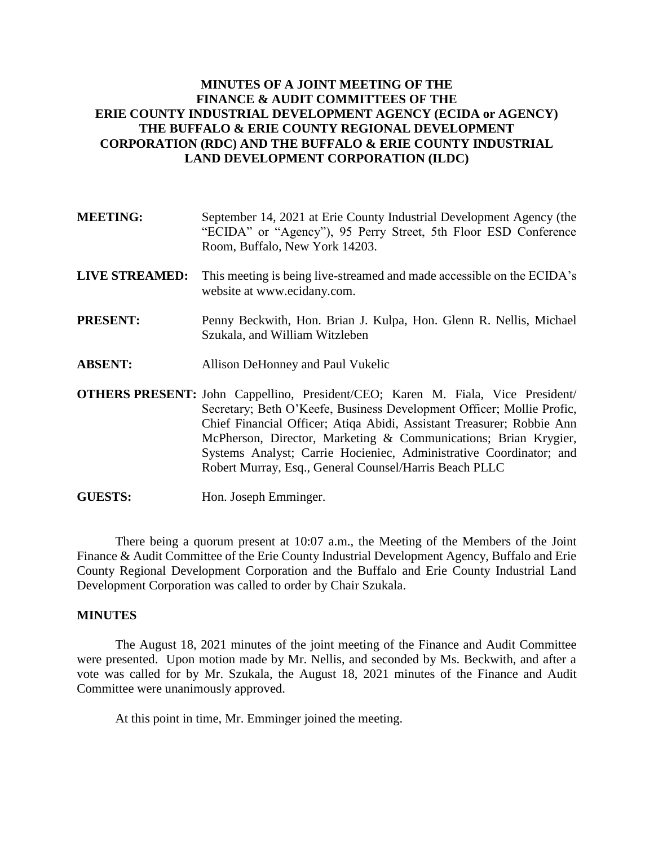# **MINUTES OF A JOINT MEETING OF THE FINANCE & AUDIT COMMITTEES OF THE ERIE COUNTY INDUSTRIAL DEVELOPMENT AGENCY (ECIDA or AGENCY) THE BUFFALO & ERIE COUNTY REGIONAL DEVELOPMENT CORPORATION (RDC) AND THE BUFFALO & ERIE COUNTY INDUSTRIAL LAND DEVELOPMENT CORPORATION (ILDC)**

| <b>MEETING:</b> | September 14, 2021 at Erie County Industrial Development Agency (the |
|-----------------|----------------------------------------------------------------------|
|                 | "ECIDA" or "Agency"), 95 Perry Street, 5th Floor ESD Conference      |
|                 | Room, Buffalo, New York 14203.                                       |

- **LIVE STREAMED:** This meeting is being live-streamed and made accessible on the ECIDA's website at www.ecidany.com.
- **PRESENT:** Penny Beckwith, Hon. Brian J. Kulpa, Hon. Glenn R. Nellis, Michael Szukala, and William Witzleben
- **ABSENT:** Allison DeHonney and Paul Vukelic
- **OTHERS PRESENT:** John Cappellino, President/CEO; Karen M. Fiala, Vice President/ Secretary; Beth O'Keefe, Business Development Officer; Mollie Profic, Chief Financial Officer; Atiqa Abidi, Assistant Treasurer; Robbie Ann McPherson, Director, Marketing & Communications; Brian Krygier, Systems Analyst; Carrie Hocieniec, Administrative Coordinator; and Robert Murray, Esq., General Counsel/Harris Beach PLLC

#### GUESTS: Hon. Joseph Emminger.

There being a quorum present at 10:07 a.m., the Meeting of the Members of the Joint Finance & Audit Committee of the Erie County Industrial Development Agency, Buffalo and Erie County Regional Development Corporation and the Buffalo and Erie County Industrial Land Development Corporation was called to order by Chair Szukala.

#### **MINUTES**

The August 18, 2021 minutes of the joint meeting of the Finance and Audit Committee were presented. Upon motion made by Mr. Nellis, and seconded by Ms. Beckwith, and after a vote was called for by Mr. Szukala, the August 18, 2021 minutes of the Finance and Audit Committee were unanimously approved.

At this point in time, Mr. Emminger joined the meeting.